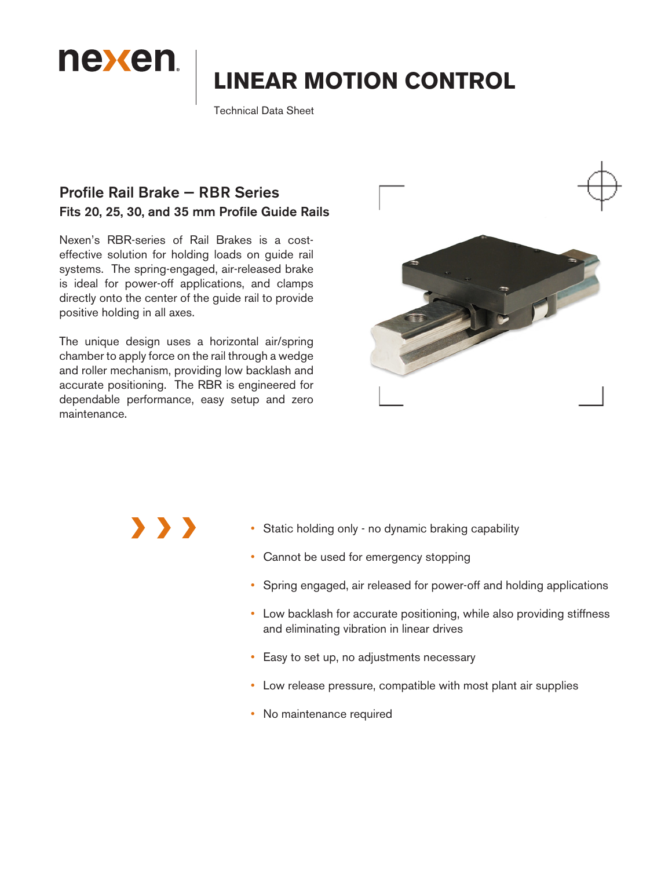

# **LINEAR MOTION CONTROL**

Technical Data Sheet

#### Profile Rail Brake — RBR Series Fits 20, 25, 30, and 35 mm Profile Guide Rails

Nexen's RBR-series of Rail Brakes is a costeffective solution for holding loads on guide rail systems. The spring-engaged, air-released brake is ideal for power-off applications, and clamps directly onto the center of the guide rail to provide positive holding in all axes.

The unique design uses a horizontal air/spring chamber to apply force on the rail through a wedge and roller mechanism, providing low backlash and accurate positioning. The RBR is engineered for dependable performance, easy setup and zero maintenance.



- Static holding only no dynamic braking capability
- Cannot be used for emergency stopping
- Spring engaged, air released for power-off and holding applications
- Low backlash for accurate positioning, while also providing stiffness and eliminating vibration in linear drives
- Easy to set up, no adjustments necessary
- Low release pressure, compatible with most plant air supplies
- No maintenance required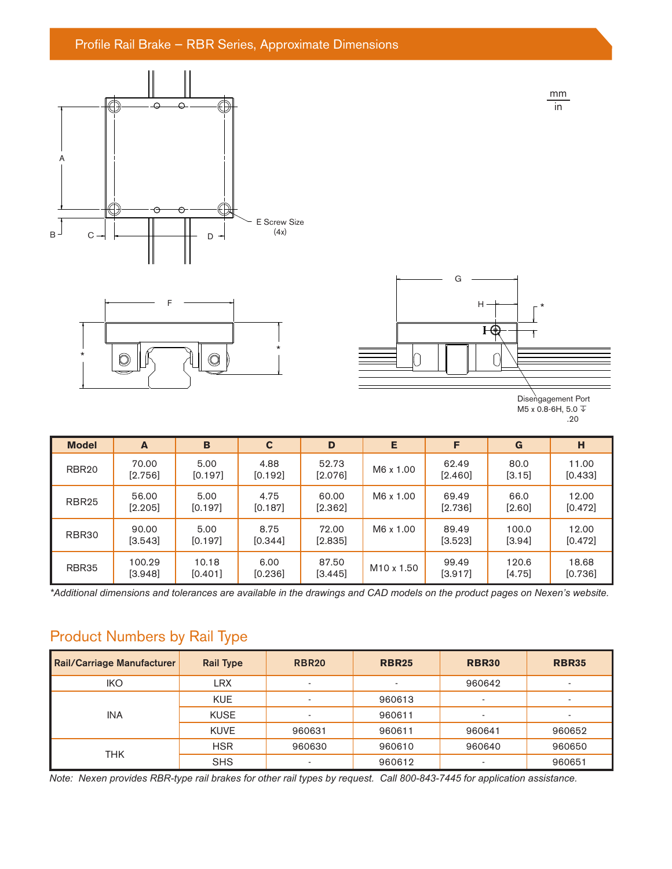#### Profile Rail Brake — RBR Series, Approximate Dimensions







mm in

| <b>Model</b>      | A                   | B                 | $\mathbf c$     | D                  | E          | F                | G               | н                |
|-------------------|---------------------|-------------------|-----------------|--------------------|------------|------------------|-----------------|------------------|
| RBR <sub>20</sub> | 70.00<br>$[2.756]$  | 5.00<br>$[0.197]$ | 4.88<br>[0.192] | 52.73<br>$[2.076]$ | M6 x 1.00  | 62.49<br>[2.460] | 80.0<br>[3.15]  | 11.00<br>[0.433] |
| RBR <sub>25</sub> | 56.00<br>[2.205]    | 5.00<br>[0.197]   | 4.75<br>[0.187] | 60.00<br>$[2.362]$ | M6 x 1.00  | 69.49<br>[2.736] | 66.0<br>[2.60]  | 12.00<br>[0.472] |
| RBR30             | 90.00<br>[3.543]    | 5.00<br>[0.197]   | 8.75<br>[0.344] | 72.00<br>$[2.835]$ | M6 x 1.00  | 89.49<br>[3.523] | 100.0<br>[3.94] | 12.00<br>[0.472] |
| RBR35             | 100.29<br>$[3.948]$ | 10.18<br>[0.401]  | 6.00<br>[0.236] | 87.50<br>$[3.445]$ | M10 x 1.50 | 99.49<br>[3.917] | 120.6<br>[4.75] | 18.68<br>[0.736] |

*\*Additional dimensions and tolerances are available in the drawings and CAD models on the product pages on Nexen's website.* 

# Product Numbers by Rail Type

| Rail/Carriage Manufacturer | <b>Rail Type</b> | <b>RBR20</b> | <b>RBR25</b> | <b>RBR30</b> | <b>RBR35</b> |
|----------------------------|------------------|--------------|--------------|--------------|--------------|
| <b>IKO</b>                 | <b>LRX</b>       | ٠            |              | 960642       |              |
|                            | <b>KUE</b>       | ٠            | 960613       | -            |              |
| <b>INA</b>                 | <b>KUSE</b>      | ÷            | 960611       | ۰            |              |
|                            | <b>KUVE</b>      | 960631       | 960611       | 960641       | 960652       |
|                            | <b>HSR</b>       | 960630       | 960610       | 960640       | 960650       |
| <b>THK</b>                 | <b>SHS</b>       | ۰            | 960612       | -            | 960651       |

*Note: Nexen provides RBR-type rail brakes for other rail types by request. Call 800-843-7445 for application assistance.*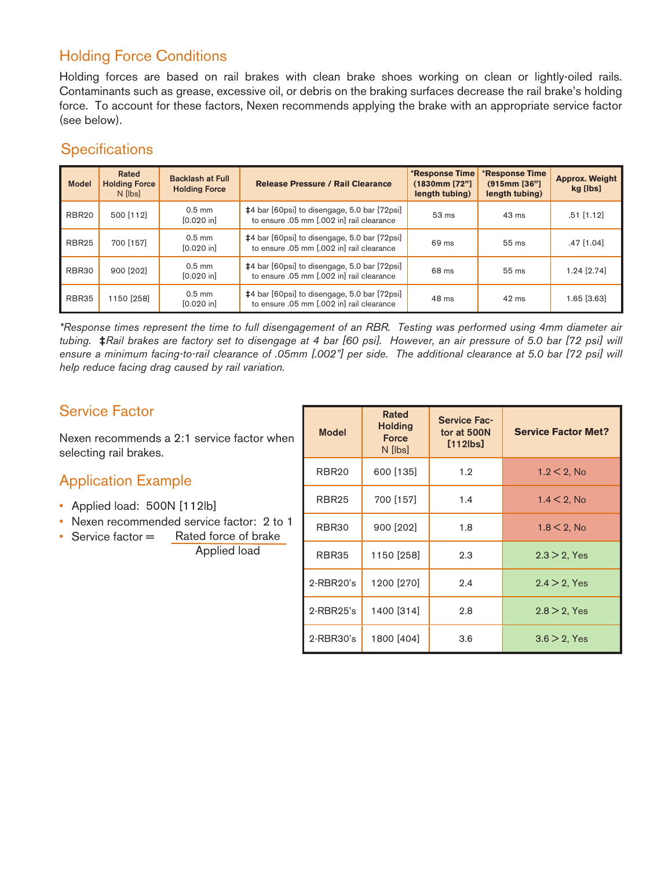# Holding Force Conditions

Holding forces are based on rail brakes with clean brake shoes working on clean or lightly-oiled rails. Contaminants such as grease, excessive oil, or debris on the braking surfaces decrease the rail brake's holding force. To account for these factors, Nexen recommends applying the brake with an appropriate service factor (see below).

### **Specifications**

| <b>Model</b>      | Rated<br><b>Holding Force</b><br>N <i>I</i> lbs | <b>Backlash at Full</b><br><b>Holding Force</b> | <b>Release Pressure / Rail Clearance</b>                                                         | *Response Time<br>(1830mm [72"]<br>length tubing) | *Response Time<br>(915mm [36"]<br>length tubing) | <b>Approx. Weight</b><br>kg [lbs] |
|-------------------|-------------------------------------------------|-------------------------------------------------|--------------------------------------------------------------------------------------------------|---------------------------------------------------|--------------------------------------------------|-----------------------------------|
| RBR <sub>20</sub> | 500 [112]                                       | $0.5$ mm<br>$[0.020$ in                         | <b>‡4</b> bar [60psi] to disengage, 5.0 bar [72psi]<br>to ensure .05 mm [.002 in] rail clearance | $53 \text{ ms}$                                   | $43 \text{ ms}$                                  | $.51$ [1.12]                      |
| RBR <sub>25</sub> | 700 [157]                                       | $0.5$ mm<br>[0.020 in]                          | #4 bar [60psi] to disengage, 5.0 bar [72psi]<br>to ensure .05 mm [.002 in] rail clearance        | 69 ms                                             | 55 <sub>ms</sub>                                 | .47 [1.04]                        |
| RBR30             | 900 [202]                                       | $0.5$ mm<br>$[0.020$ in                         | <b>‡4</b> bar [60psi] to disengage, 5.0 bar [72psi]<br>to ensure .05 mm [.002 in] rail clearance | 68 ms                                             | 55 <sub>ms</sub>                                 | $1.24$ [2.74]                     |
| RBR35             | 1150 [258]                                      | $0.5$ mm<br>$[0.020$ in                         | <b>‡4</b> bar [60psi] to disengage, 5.0 bar [72psi]<br>to ensure .05 mm [.002 in] rail clearance | 48 ms                                             | $42 \text{ ms}$                                  | $1.65$ [3.63]                     |

*\*Response times represent the time to full disengagement of an RBR. Testing was performed using 4mm diameter air tubing.* **‡***Rail brakes are factory set to disengage at 4 bar [60 psi]. However, an air pressure of 5.0 bar [72 psi] will ensure a minimum facing-to-rail clearance of .05mm [.002"] per side. The additional clearance at 5.0 bar [72 psi] will help reduce facing drag caused by rail variation.* 

## Service Factor

Nexen recommends a 2:1 service factor when selecting rail brakes.

### Application Example

- Applied load: 500N [112lb]
- Nexen recommended service factor: 2 to 1
- Service factor = Rated force of brake

Applied load

| <b>Model</b>      | Rated<br><b>Holding</b><br><b>Force</b><br>N [lbs] | <b>Service Fac-</b><br>tor at 500N<br>$[112$ lbs] | <b>Service Factor Met?</b> |  |
|-------------------|----------------------------------------------------|---------------------------------------------------|----------------------------|--|
| RBR <sub>20</sub> | 600 [135]                                          | 1.2                                               | $1.2 < 2$ , No             |  |
| <b>RBR25</b>      | 700 [157]                                          | 1.4                                               | $1.4 < 2$ , No             |  |
| RBR <sub>30</sub> | 900 [202]                                          | 1.8                                               | $1.8 < 2$ , No             |  |
| RBR35             | 1150 [258]                                         | 2.3                                               | $2.3 > 2$ , Yes            |  |
| 2-RBR20's         | 1200 [270]                                         | 2.4                                               | $2.4 > 2$ , Yes            |  |
| 2-RBR25's         | 1400 [314]                                         | 2.8                                               | $2.8 > 2$ , Yes            |  |
| $2$ -RBR30's      | 1800 [404]                                         | 3.6                                               | $3.6 > 2$ , Yes            |  |